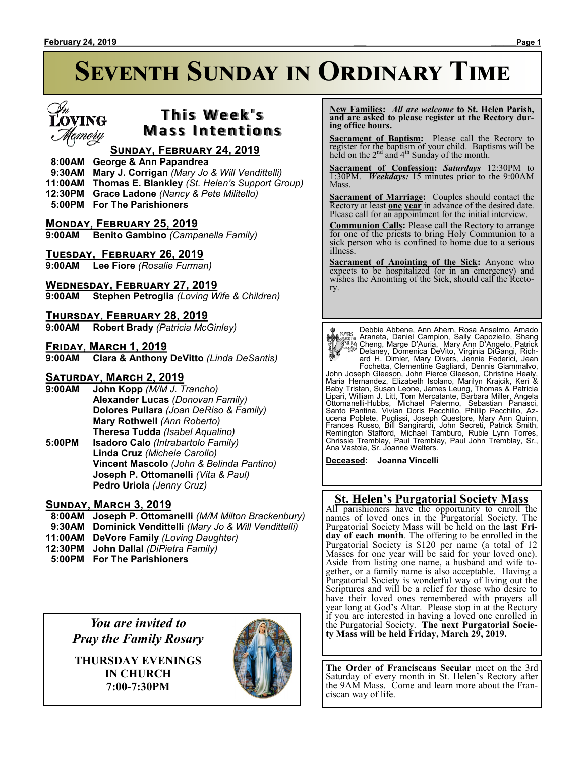# **Seventh Sunday in Ordinary Time**

## **LÖYING** emory

### **T h i s We e k ' s Mass Intentions**

### **Sunday, February 24, 2019**

### **8:00AM George & Ann Papandrea**

- **9:30AM Mary J. Corrigan** *(Mary Jo & Will Vendittelli)*
- **11:00AM Thomas E. Blankley** *(St. Helen's Support Group)*
- **12:30PM Grace Ladone** *(Nancy & Pete Militello)*
- **5:00PM For The Parishioners**

### **Monday, February 25, 2019**

**9:00AM Benito Gambino** *(Campanella Family)*

### **Tuesday, February 26, 2019**

**9:00AM Lee Fiore** *(Rosalie Furman)*

### **Wednesday, February 27, 2019**

**9:00AM Stephen Petroglia** *(Loving Wife & Children)*

### **THURSDAY, FEBRUARY 28, 2019**<br>9:00AM Robert Brady (Patricia Mc

**Robert Brady** *(Patricia McGinley)* 

### **Friday, March 1, 2019**

**9:00AM Clara & Anthony DeVitto** *(Linda DeSantis)*

### **Saturday, March 2, 2019**

- **9:00AM John Kopp** *(M/M J. Trancho)* **Alexander Lucas** *(Donovan Family)* **Dolores Pullara** *(Joan DeRiso & Family)* **Mary Rothwell** *(Ann Roberto)* **Theresa Tudda** *(Isabel Aqualino)*
- **5:00PM Isadoro Calo** *(Intrabartolo Family)* **Linda Cruz** *(Michele Carollo)* **Vincent Mascolo** *(John & Belinda Pantino)* **Joseph P. Ottomanelli** *(Vita & Paul)* **Pedro Uriola** *(Jenny Cruz)*

### **Sunday, March 3, 2019**

- **8:00AM Joseph P. Ottomanelli** *(M/M Milton Brackenbury)*
- **9:30AM Dominick Vendittelli** *(Mary Jo & Will Vendittelli)*
- **11:00AM DeVore Family** *(Loving Daughter)*
- **12:30PM John Dallal** *(DiPietra Family)*  **5:00PM For The Parishioners**
- 

*You are invited to Pray the Family Rosary*

**THURSDAY EVENINGS IN CHURCH 7:00-7:30PM**



 **New Families:** *All are welcome* **to St. Helen Parish, and are asked to please register at the Rectory during office hours.**

**Sacrament of Baptism:**Please call the Rectory to register for the baptism of your child. Baptisms will be held on the  $2<sup>nd</sup>$  and  $4<sup>th</sup>$  Sunday of the month.

**Sacrament of Confession:** *Saturdays* 12:30PM to 1:30PM. *Weekdays:* 15 minutes prior to the 9:00AM Mass.

**Sacrament of Marriage:**Couples should contact the Rectory at least **one year** in advance of the desired date. Please call for an appointment for the initial interview.

**Communion Calls:** Please call the Rectory to arrange for one of the priests to bring Holy Communion to a sick person who is confined to home due to a serious illness.

**Sacrament of Anointing of the Sick:** Anyone who expects to be hospitalized (or in an emergency) and wishes the Anointing of the Sick, should call the Rectory.

Debbie Abbene, Ann Ahern, Rosa Anselmo, Amado Araneta, Daniel Campion, Sally Capoziello, Shang Cheng, Marge D'Auria, Mary Ann D'Angelo, Patrick Delaney, Domenica DeVito, Virginia DiGangi, Richard H. Dimler, Mary Divers, Jennie Federici, Jean<br>John Joseph Gleeson, John Pierce Gleeson, Christine Healy,<br>John Joseph Gleeson, John Pierce Gleeson, Christine Healy,<br>Maria Hernandez, Elizabeth Isolano, Marilyn Krajcik, K Frances Russo, Bill Sangirardi, John Secreti, Patrick Smith, Remington Stafford, Michael Tamburo, Rubie Lynn Torres, Chrissie Tremblay, Paul Tremblay, Paul John Tremblay, Sr., Ana Vastola, Sr. Joanne Walters.

**Deceased: Joanna Vincelli**

### **St. Helen's Purgatorial Society Mass**

All parishioners have the opportunity to enroll the names of loved ones in the Purgatorial Society. The Purgatorial Society Mass will be held on the **last Friday of each month**. The offering to be enrolled in the Purgatorial Society is \$120 per name (a total of 12 Masses for one year will be said for your loved one). Aside from listing one name, a husband and wife together, or a family name is also acceptable. Having a Purgatorial Society is wonderful way of living out the Scriptures and will be a relief for those who desire to have their loved ones remembered with prayers all year long at God's Altar. Please stop in at the Rectory if you are interested in having a loved one enrolled in the Purgatorial Society. **The next Purgatorial Society Mass will be held Friday, March 29, 2019.**

**The Order of Franciscans Secular** meet on the 3rd Saturday of every month in St. Helen's Rectory after the 9AM Mass. Come and learn more about the Franciscan way of life.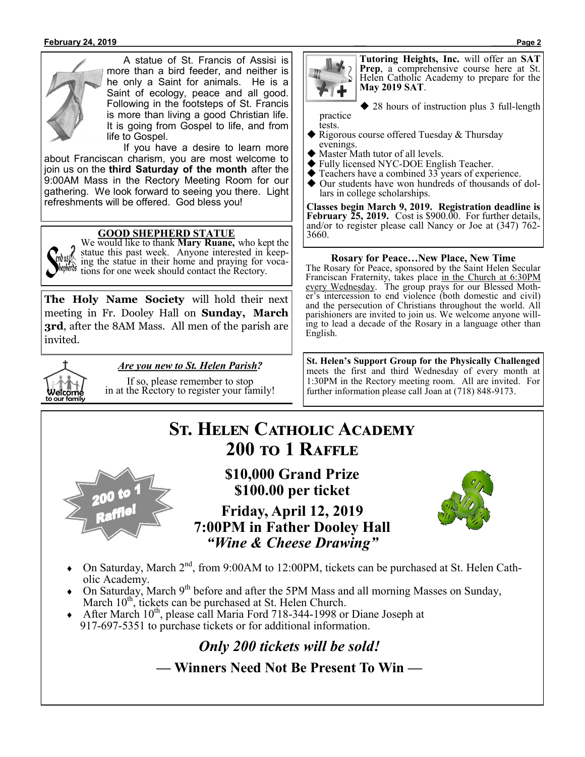#### **February 24, 2019 \_\_\_ \_\_\_\_\_\_Page 2**



 A statue of St. Francis of Assisi is more than a bird feeder, and neither is he only a Saint for animals. He is a Saint of ecology, peace and all good. Following in the footsteps of St. Francis is more than living a good Christian life. It is going from Gospel to life, and from life to Gospel.

 If you have a desire to learn more about Franciscan charism, you are most welcome to join us on the **third Saturday of the month** after the 9:00AM Mass in the Rectory Meeting Room for our gathering. We look forward to seeing you there. Light refreshments will be offered. God bless you!

### **GOOD SHEPHERD STATUE**

We would like to thank **Mary Ruane,** who kept the statue this past week. Anyone interested in keeping the statue in their home and praying for vocations for one week should contact the Rectory.

**The Holy Name Society** will hold their next meeting in Fr. Dooley Hall on **Sunday, March 3rd**, after the 8AM Mass. All men of the parish are invited.



### *Are you new to St. Helen Parish?*

If so, please remember to stop in at the Rectory to register your family!



**Tutoring Heights, Inc.** will offer an **SAT Prep**, a comprehensive course here at St. Helen Catholic Academy to prepare for the **May 2019 SAT**.

◆ 28 hours of instruction plus 3 full-length

practice tests.

- Rigorous course offered Tuesday & Thursday evenings.
- Master Math tutor of all levels.
- Fully licensed NYC-DOE English Teacher.
- Teachers have a combined 33 years of experience.
- Our students have won hundreds of thousands of dollars in college scholarships.

**Classes begin March 9, 2019. Registration deadline is**  February 25, 2019. Cost is \$900.00. For further details, and/or to register please call Nancy or Joe at (347) 762- 3660.

#### **Rosary for Peace…New Place, New Time**

The Rosary for Peace, sponsored by the Saint Helen Secular Franciscan Fraternity, takes place in the Church at 6:30PM every Wednesday. The group prays for our Blessed Mother's intercession to end violence (both domestic and civil) and the persecution of Christians throughout the world. All parishioners are invited to join us. We welcome anyone willing to lead a decade of the Rosary in a language other than English.

**St. Helen's Support Group for the Physically Challenged**  meets the first and third Wednesday of every month at 1:30PM in the Rectory meeting room. All are invited. For further information please call Joan at (718) 848-9173.

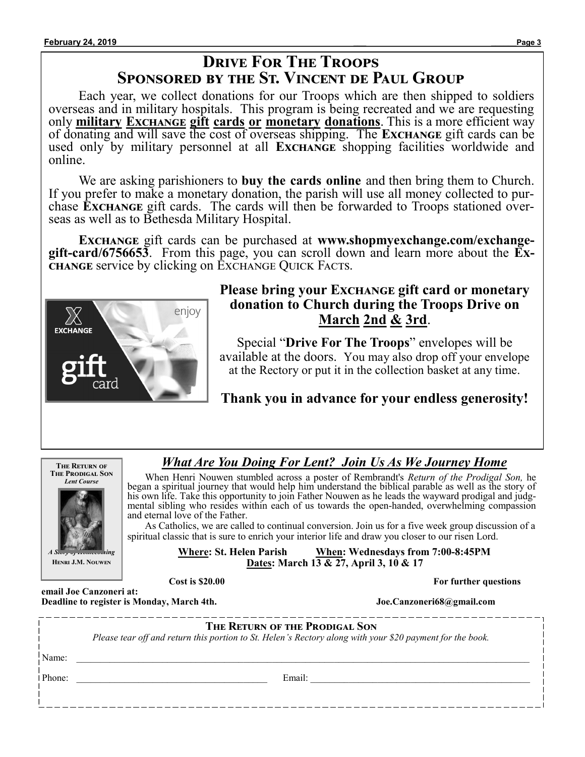### **Drive For The Troops Sponsored by the St. Vincent de Paul Group**

Each year, we collect donations for our Troops which are then shipped to soldiers overseas and in military hospitals. This program is being recreated and we are requesting only **military Exchange gift cards or monetary donations**. This is a more efficient way of donating and will save the cost of overseas shipping. The **Exchange** gift cards can be used only by military personnel at all **Exchange** shopping facilities worldwide and online.

We are asking parishioners to **buy the cards online** and then bring them to Church. If you prefer to make a monetary donation, the parish will use all money collected to purchase **Exchange** gift cards. The cards will then be forwarded to Troops stationed overseas as well as to Bethesda Military Hospital.

**Exchange** gift cards can be purchased at **www.shopmyexchange.com/exchangegift-card/6756653**. From this page, you can scroll down and learn more about the **Exchange** service by clicking on Exchange Quick Facts.



### **Please bring your Exchange gift card or monetary donation to Church during the Troops Drive on March 2nd & 3rd**.

Special "**Drive For The Troops**" envelopes will be available at the doors. You may also drop off your envelope at the Rectory or put it in the collection basket at any time.

**Thank you in advance for your endless generosity!**



### *What Are You Doing For Lent? Join Us As We Journey Home*

 When Henri Nouwen stumbled across a poster of Rembrandt's *Return of the Prodigal Son,* he began a spiritual journey that would help him understand the biblical parable as well as the story of his own life. Take this opportunity to join Father Nouwen as he leads the wayward prodigal and judgmental sibling who resides within each of us towards the open-handed, overwhelming compassion and eternal love of the Father.

 As Catholics, we are called to continual conversion. Join us for a five week group discussion of a spiritual classic that is sure to enrich your interior life and draw you closer to our risen Lord.

> **Where: St. Helen Parish When: Wednesdays from 7:00-8:45PM Dates: March 13 & 27, April 3, 10 & 17**

**Cost is \$20.00 For further questions** 

**Deadline to register is Monday, March 4th.**  $Joe.Canzoneri68@gmail.com$ 

|  |  | THE RETURN OF THE PRODIGAL SON |  |
|--|--|--------------------------------|--|

*Please tear off and return this portion to St. Helen's Rectory along with your \$20 payment for the book.* 

Name:  $\Box$ 

Phone: The contract of the contract of the contract of the contract of the contract of the contract of the contract of the contract of the contract of the contract of the contract of the contract of the contract of the con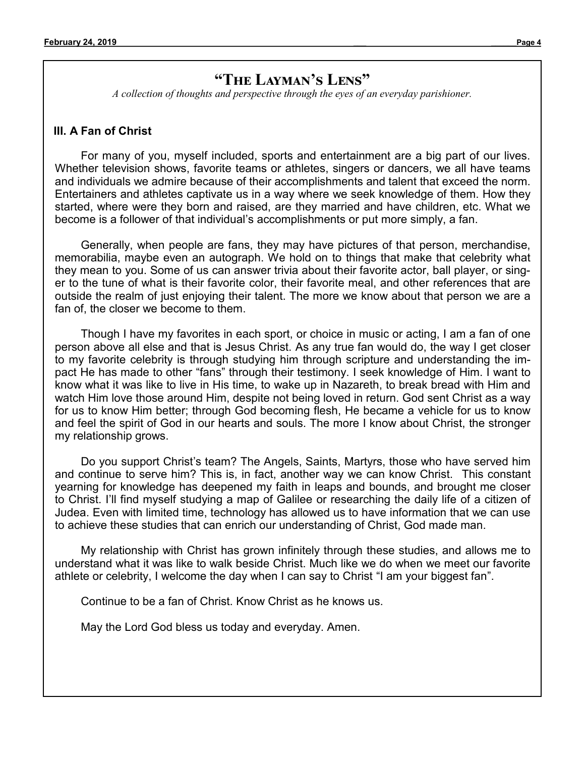### **"The Layman's Lens"**

*A collection of thoughts and perspective through the eyes of an everyday parishioner.*

### **III. A Fan of Christ**

For many of you, myself included, sports and entertainment are a big part of our lives. Whether television shows, favorite teams or athletes, singers or dancers, we all have teams and individuals we admire because of their accomplishments and talent that exceed the norm. Entertainers and athletes captivate us in a way where we seek knowledge of them. How they started, where were they born and raised, are they married and have children, etc. What we become is a follower of that individual's accomplishments or put more simply, a fan.

Generally, when people are fans, they may have pictures of that person, merchandise, memorabilia, maybe even an autograph. We hold on to things that make that celebrity what they mean to you. Some of us can answer trivia about their favorite actor, ball player, or singer to the tune of what is their favorite color, their favorite meal, and other references that are outside the realm of just enjoying their talent. The more we know about that person we are a fan of, the closer we become to them.

Though I have my favorites in each sport, or choice in music or acting, I am a fan of one person above all else and that is Jesus Christ. As any true fan would do, the way I get closer to my favorite celebrity is through studying him through scripture and understanding the impact He has made to other "fans" through their testimony. I seek knowledge of Him. I want to know what it was like to live in His time, to wake up in Nazareth, to break bread with Him and watch Him love those around Him, despite not being loved in return. God sent Christ as a way for us to know Him better; through God becoming flesh, He became a vehicle for us to know and feel the spirit of God in our hearts and souls. The more I know about Christ, the stronger my relationship grows.

Do you support Christ's team? The Angels, Saints, Martyrs, those who have served him and continue to serve him? This is, in fact, another way we can know Christ. This constant yearning for knowledge has deepened my faith in leaps and bounds, and brought me closer to Christ. I'll find myself studying a map of Galilee or researching the daily life of a citizen of Judea. Even with limited time, technology has allowed us to have information that we can use to achieve these studies that can enrich our understanding of Christ, God made man.

My relationship with Christ has grown infinitely through these studies, and allows me to understand what it was like to walk beside Christ. Much like we do when we meet our favorite athlete or celebrity, I welcome the day when I can say to Christ "I am your biggest fan".

Continue to be a fan of Christ. Know Christ as he knows us.

May the Lord God bless us today and everyday. Amen.